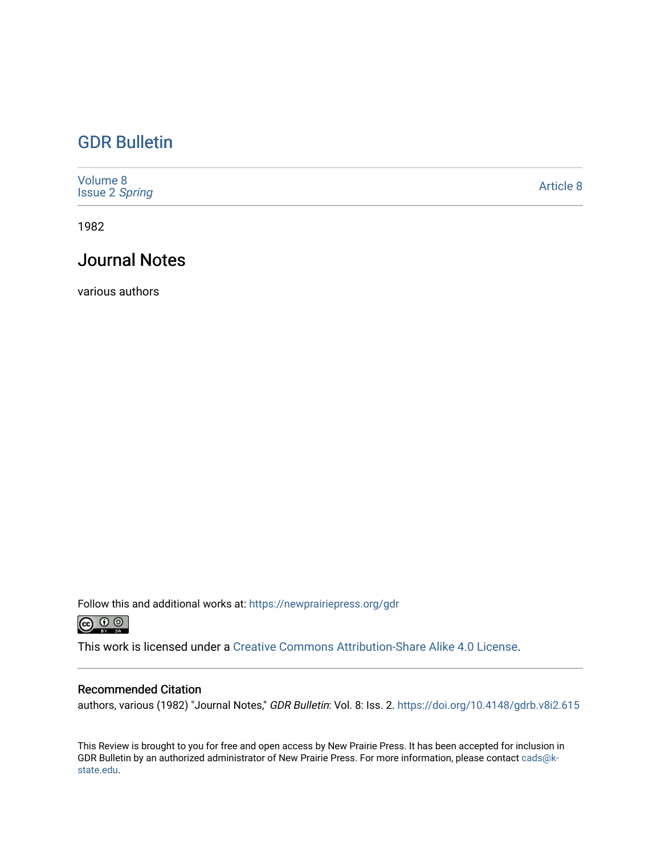## [GDR Bulletin](https://newprairiepress.org/gdr)

| Volume 8<br><b>Issue 2 Spring</b> | Article 8 |
|-----------------------------------|-----------|
|-----------------------------------|-----------|

1982

## Journal Notes

various authors

Follow this and additional works at: [https://newprairiepress.org/gdr](https://newprairiepress.org/gdr?utm_source=newprairiepress.org%2Fgdr%2Fvol8%2Fiss2%2F8&utm_medium=PDF&utm_campaign=PDFCoverPages) 



This work is licensed under a [Creative Commons Attribution-Share Alike 4.0 License.](https://creativecommons.org/licenses/by-sa/4.0/)

### Recommended Citation

authors, various (1982) "Journal Notes," GDR Bulletin: Vol. 8: Iss. 2.<https://doi.org/10.4148/gdrb.v8i2.615>

This Review is brought to you for free and open access by New Prairie Press. It has been accepted for inclusion in GDR Bulletin by an authorized administrator of New Prairie Press. For more information, please contact [cads@k](mailto:cads@k-state.edu)[state.edu](mailto:cads@k-state.edu).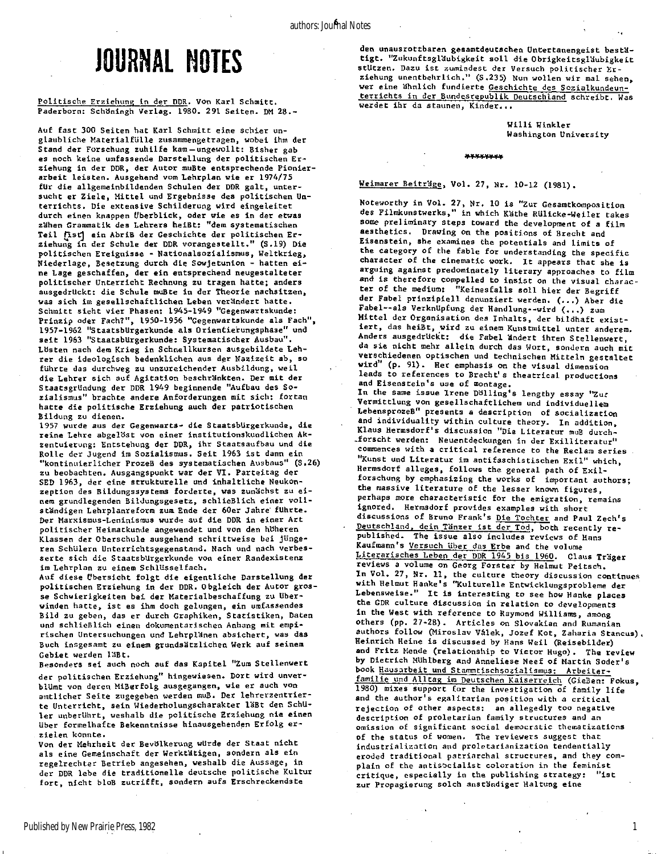# JOURNAL NOTES

#### Politische Erziehung in der DDR. Von Karl Schmitt. Paderborn: Schöningh Verlag. 1980. 291 Seiten. DM 28.-

**Auf fast 300 Seiten hat Karl Schmitt eine schier unglaubliche Materialfüll e zusammengetragen, wobei ihm der**  Stand der Forschung zuhilfe kam-ungewollt: Bisher gab es noch keine umfassende Darstellung der politischen Er**ziehung in der DDR, der Autor mußte entsprechende Pionierarbeit leisten . Ausgehend vom Lehrplan wie er 1974/75**  für die allgemeinbildenden Schulen der DDR galt, untersucht er Ziele, Mittel und Ergebnisse des politischen Un**terrichts . Die extensive Schilderung wird eingeleite t durch einen knappen Überblick , oder wie es i n der etwas**  zähen Grammatik des Lehrers heißt: "dem systematischen Teil [Ist] ein AbriB der Geschichte der politischen Erziehung in der Schule der DDR vorangestellt." (S.19) Die **politische n Ereignisse - Nationalsozialismus, Weltkrieg, Niederlage, Besetzung durch die Sowjetunion - hatten ei ne Lage geschaffen, der ei n entsprechend neugestalteter politische r Unterricht Rechnung zu tragen hatte; anders**  ausgedrückt: die Schule mußte in der Theorie nachsitzen, **was sic h im gesellschaftliche n Leben veränder t hatte.**  Schmitt sieht vier Phasen: 1945-1949 "Gegenwartskunde: Prinzip oder Fach?", 1950-1956 "Gegenwartskunde als Fach", **1957-1962 "Staatsbürgerkund e als Orientierungsphase" und sei t 1963 "Staatsbürgerkunde : Systematischer Ausbau".**  Lösten nach dem Krieg in Schnellkursen ausgebildete Leh**rer die ideologisch bedenklichen aus der Nazizei t ab, so führte das durchweg zu unzureichender Ausbildung, weil die Lehrer sich auf Agitatio n beschränkten . Der mit der StaatsgrUndung der DDR 1949 beginnende "Aufbau des So**zialismus" brachte andere Anforderungen mit sich: fortan hatte die politische Erziehung auch der patriotischen **Bildung zu dienen.** 

**1957 wurde aus der Gegenwarcs- die Staatsbürgerkunde , die reine Lehre abgelöst von einer institutionskundlichen Akzentuierung: Entstehung der DDR, ihr Staatsaufbau und die Rolle der Jugend im Sozialismus. Sei t 1963 is t dann ein "kontinuierlicher Prozeß des systematischen Ausbaus" (S.26) zu beobachten. Ausgangspunkt war der VI. Parteitag der**  SED 1963, der eine strukturelle und inhaltliche Neukon**zeption des Bildungssystems forderte, was zunächst zu ei**   $n$ em grundlegenden Bildungsgesetz, schlieBlich einer voll**ständige n Lehrplanreforra zum Ende der 60er Jahre führte .**  Der Marxismus-Leninismus wurde auf die DDR in einer Art **politische r Heimatkunde angewendet und von den höheren Klassen der Oberschule ausgehend schrittweise bei jünge**ren Schülern Unterrichtsgegenstand. Nach und nach verbesserte sich die Staatsbürgerkunde von einer Randexistenz **im Lehrplan zu einem Schlüsselfach .** 

Auf diese Übersicht folgt die eigentliche Darstellung der politischen Erziehung in der DDR. Obgleich der Autor gros**se Schwierigkeiten bei der Materialbeschaffung zu über**  winden hatte, ist es ihm doch gelungen, ein umfassendes **Bil d zu geben, das er durch Graphiken, Statistiken , Daten und schließlich einen dokumentarischen Anhang mit empirischen Untersuchungen und Lehrpläne n absichert, was das**  Buch insgesamt zu einem grundsätzlichen Werk auf seinem **Gebiet werden läßt .** 

Besonders sei auch noch auf das Kapitel "Zum Stellenwert der politischen Erziehung" hingewiesen. Dort wird unverblümt von deren Mißerfolg ausgegangen, wie er auch von **amtlicher Seite zugegeben werden muß . Der lehrerzentrier te Unterricht , sein Wiederholungscharakter läßt den Schü l e r unberührt , weshalb die politisch e Erziehung nie einen**  über formelhafte Bekenntnisse hinausgehenden Erfolg er**ziele n konnte.** 

Von der Mehrheit der Bevölkerung würde der Staat nicht **a l s eine Gemeinschaft der Werktätigen , sondern als ein regelrechter Betrieb angesehen, weshalb die Aussage, i n der DDR lebe die traditionell e deutsche politisch e Kultur fort , nicht bloß zutrifft , sondern aufs Erschreckendste** 

**den unausrottbaren gesamtdeutschen Untertanengeist bestä tigt . "Zukunftsgläubigkei t sol l die Obrigkeitsgläubigkei t**  stützen. Dazu ist zumindest der Versuch politischer Er**ziehung unentbehrlich." (S.235) Nun wollen wir mal sehen, wer eine ähnlich fundierte Geschichte des Sozialkundeunterricht s i n der Bundesrepublik Deutschland schreibt . Was werdet ihr da staunen, Kinder...** 

> **Will i Winkler Washington University**

#### »YYYYYY- Y

**Weimarer Beiträge , Vol . 27, Nr. 10-12 (1981).** 

**Noteworthy i n Vol . 27, Nr. 10 i s "Zur Gesamtkomposition des Filmkunstwerks," in which Käth e RUlicke-Weiler takes some preliminary steps toward the development of a fil <sup>m</sup> aesthetics . Drawing on the positions of Brecht and Eisenstein , she examines the potentials and limit s of**  the category of the fable for understanding the specific character of the cinematic work. It appears that she is **arguing against predominately literar y approaches to fil m**  and is therefore compelled to insist on the visual charac**ter of the medium: "Keinesfalls sol l hier der Begrif f der Fabel prinzipiel l denunziert werden. (...) Aber die Fabel—al s Verknüpfun g der Handlung—wird (...) zum Mitte l der Organisation des Inhalts , der bildhaf t exist iert , das heißt , wird zu einem Kunstmittel unter anderem. Anders ausgedrückt : die Fabel änder t ihren Stellenwert, da si e nicht mehr allei n durch das Wort, sondern auch mit**  verschiedenen optischen und technischen Mitteln gestaltet wird" (p. 91). Her emphasis on the visual dimension leads to references to Brecht's theatrical productions **and Eisenstein's use of montage. In the same issue Irene Dölling' s lengthy essay "Zur Vermittlung von gesellschaftlichem und individuellem**  LebensprozeB" presents a description of socialization and individuality within culture theory. In addition, Klaus Hermsdorf's discussion "Die Literatur muB durch**forsch t werden: Neuentdeckungen i n der Exilliteratur "**  commences with a critical reference to the Reclam series **"Kunst und Literatu r im antifaschistischen Exil " which,** 

**Hermsdorf alleges , follows the general path of Exil forschung by emphasizing the works of important authors;**  the massive literature of the lesser known figures, perhaps more characteristic for the emigration, remains **ignored. Hermsdorf provides examples with short discussions of Bruno Frank's Die Tochter and Paul Zech's**  Deutschland, dein Tänzer ist der Tod, both recently re**published. The issue also includes reviews of Hans Kaufmann's Versuch Uber das Erbe and the volume Literarische s Leben der DDR 1945 bis 1960. Claus Träge r reviews a volume on Georg Forster by Helmut Peitsch . In Vol . 27, Nr. 11, the culture theory discussion continues with Helmut Hanke's "Kulturell e Entwicklungsprobleme der Lebensweise." I t** i 3 **interestin g to see how Hanke places**  Lebensweise." It is interesting to see how Hanke places the GDR culture discussion in relation to developments in the West with reference to Raymond Williams, among others (pp. 27-28). Articles on Slovakian and Rumanian authors follow (Miroslav Valek, Jozef Kot, Zaharia Stancus). **Heinrich Heine is discussed by Hans Weil (Reisebilder) and Fritz Mende (relationship to Victor Hugo). The review** by Dietrich Mühlberg and Anneliese Neef of Martin Soder's book Hausarbeit und Stammtischsozialismus: Arbeiterfamilie und Alltag im Deutschen Kaiserreich (GieBen: Fokus, 1980) mixes support for the investigation of family life and the author<sup>1</sup>s egalitarian position with a critical rejection of other aspects: an allegedly too negative description of proletarian family structures and an omission of significant social democratic thematizations of the status of women. The reviewers suggest that industrialization and proletarianization tendentially **eroded traditional patriarchal structures, and they com**plain of the antisocialist coloration in the feminist critique, especially in the publishing strategy: "ist zur Propagierung solch anständiger Haltung eine

1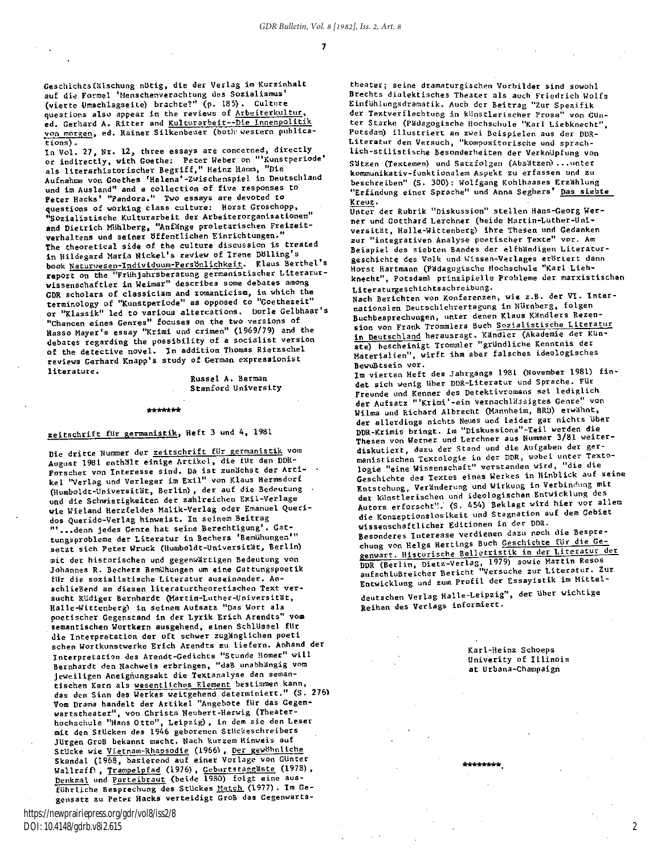Geschichtsfälschung nötig, die der Verlag im Kurzinhalt **auf die Formel 'Menschenverachtung des Sozialismus' (vierte Umschlagseite) brachte?" (p. 185) . Culture**  questions also appear in the reviews of Arbeiterkultur, ed. Gerhard A. Ritter and Kulturarbeit--Die Innenpolitik **von morgen, ed. Rainer Silkenbeuer (both'western publications) .** 

In Vol. 27, Nr. 12, three essays are concerned, directly **or indirectly , with Goethe: Peter Weber on "'Kunstperiode' a ls literarhistorische r Begriff, " Heinz Hamm, "Die Aufnahme von Goethes 'Helena'-Zwischenspiel in Deutschland**  und im Ausland" and a collection of five responses to **Peter Hacks' "Pandora." Two essays are devoted to questions of working class culture: Horst Groschopp, "Sozialistisch e Kulturarbeit der Arbeiterorganisationen" and Dietric h Mühlberg , "Anfäng e proletarischen Freizeit**  verhaltens und seiner öffentlichen Einrichtungen." The theoretical side of the culture discussion is treated **<sup>i</sup> n Hildegard Maria Nickel's review of Irene Dölling's book Naturwesen-Individuum-Persönlichkeit . Klaus Berthel's report on the "Frlihjahrsberatung germanistischer Literatur**  wissenschaftler in Weimar" describes some debates among **GDR** scholars of classicism and romanticism, in which the **terminology of "Kunstperiode" as opposed to "Goethezeit" or "Klassik" led to various altercations . Dorle Gelbhaar's "Chancen eines Genres" focuses on the two versions of Hasso Mayer's essay "Krimi und crimen" (1969/79) and the**  debates regarding the possibility of a socialist version **of the detective novel. In addition Thomas Rietzschel reviews Gerhard Knapp's study of German expressionist literature .** 

**Russel A. Berman Stanford University** 

**nnnni« n** 

### zeitschrift für germanistik, Heft 3 und 4, 1981

Die dritte Nummer der zeitschrift für germanistik vom **August 1981 enthält einige Artikel , die fllr den DDR-Forscher von Interesse sind . Da is t zunächst der Arti - • k el "Verlag und Verleger im Exil " von Klaus Hermsdorf (Humboldt-Universität , Berlin) , der auf die Bedeutung und die Schwierigkeiter. der zahlreichen Exil-Verlage wie Wieland Herzfeldes Malik-Verlag oder Emanuel Queridos Querido-Verlag hinweist. In seinem Beitrag "'...denn jedes Genre hat seine Berechtigung'. Gattungsprobleme der Literatu r i n Bechers 'Bemühungen'"**  setzt sich Peter Wruck (Humboldt-Universität, Berlin) **mit der historischen und gegenwärtigen Bedeutung von**  Johannes R. Bechers Bemühungen um eine Gattungspoetik für die sozialistische Literatur auseinander. Anschließend an diesen literaturtheoretischen Text ver**sucht Rüdiger Bernhardt (Martin-Luther-Universität , Halle-Wittenberg) i n seinem Aufsatz "Das Wort als poetischer Gegenstand i n der Lyri k Eric h Arendts" vom**  semantischen Wortkern ausgehend, einen Schlüssel für die Interpretation der oft schwer zugänglichen poeti $s$ chen Wortkunstwerke Erich Arendts zu liefern. Anhand der **Interpretation des Arendt-Gedichts "Stunde Homer" wil <sup>l</sup> Bernhardt den Nachweis erbringen, "daß unabhängig vom jeweiligen Aneighungsakt die Textanalyse den semantischen Kern als wesentliches Element bestimmen kann, das den Sinn des Werkes weitgehend determiniert." (S. 276) Vom Drama handelt der Artike l "Angebote für das Gegen-**Vom Drama handelt der Artikel "Angebote für das Gegen-<br>wartstheater", von Christa Neubert-Herwig (Theater**hochschule "Hans Otto" , Leipzig) , i n dem si e den Leser mit den Stücken des 1946 geborenen StUckeschreibers**  Jürgen Groß bekannt macht. Nach kurzem Hinweis auf **Stücke wie Vietnam-Rhapsodie** *(1966<sup>s</sup> !* **, Der gewöhnliche**  Skandal (1968, basierend auf einer Vorlage von Günter **Wallraff) , Trampelpfad (1976) , Geburtstaggäst e (1978) , Denkmal und Parteibraut (beide 1980) folgt eine aus-**Führliche Besprechung des Stückes Match (1977). Im Gegensatz zu Peter Hacks verteidigt GroB das Gegenwarts-

https://newprairiepress.org/gdr/vol8/iss2/8 DOI: 10.4148/gdrb.v8i2.615

**theater; seine dramaturgischen Vorbilder sind sowohl**  Brechts dialektisches Theater als auch Friedrich Wolfs **Einfuhlungsdramatik. Auch der Beitrag "Zur Spezifi <sup>k</sup>** der Textverflechtung in künstlerischer Prosa" von Gun**ter Starke (Pädagogische Hochschule "Karl Liebknecht"**  Potsdam) illustriert an zwei Beispielen aus der DDR-Literatur den Versuch, "kompositorische und sprach**lich-stilistisch e Besonderheiten der Verknüpfun g von**  Sätzen (Textemen) und Satzfolgen (Absätzen) ... unter **kommunikativ-funktionalem Aspekt zu erfassen und zu**  beschreiben" (S. 300): Wolfgang Kohlhaases Erzählung **"Erfindung einer Sprache" und Anna Seghers' Das siebte Kreuz.** 

Unter der Rubrik "Diskussion" stellen Hans-Georg Wer**ner und Gotthard Lerchner (beide Martin-Luther-Universität , Halle-Wittenberg) ihre Thesen und Gedanken zur "integrativen Analyse poetischer Texte" vor. Am Beispie l des siebten Bandes der elfbändigen Literatur geschichte des Volk und Wissen-Verlages erörter t dann Horst Hartmann (Pädagogische Hochschule "Karl Lieb**knecht", Potsdam) prinzipielle Probleme der marxistischen **Literaturgeschichtsschreibung.** 

**Nach Berichten von Konferenzen, wie z.B. der VI. Internationalen Deutschlehrertagung i n Nürnberg , folgen**  Buchbesprechungen, unter denen Klaus Kändlers Rezension von Frank Trommlers Buch Sozialistische Literatur **in Deutschland herausragt. Kandier (Akademie der Kün ste) bescheinigt Trommler "gründlich e Kenntnis der Materialien" , wirf t ihm aber falsches ideologisches Bewußtsein vor.** 

**Im vierten Heft des Jahrgangs 1981 (November 1981) fin det sich wenig über DDR-Literatur und Sprache. Für Freunde und Kenner des Detektivromans se i lediglic <sup>h</sup> der Aufsatz "'Krimi'-ein Vernachlässigtes Genre" von Wilma und Richard Albrecht (Mannheim, BRD) erwähnt ,**  der allerdings nichts Neues und leider gar nichts über **DDR-Krimis bringt . Im "Diskussions"-Teil werden die Thesen von Werner und Lerchner aus Nummer 3/81 weiterdiskutiert , dazu der Stand und die Aufgaben der ger**manistischen Textologie in der DDR, wobei unter Texto**logie "eine Wissenschaft" verstanden wird, "die die Geschichte des Textes eines Werkes in Hinblick auf seine Entstehung, Veränderun g und Wirkung i n Verbindung mit der künstlerischen und ideologischen Entwicklung des**  Autors erforscht". (S. 454) Beklagt wird hier vor allem **die Konzeptionslosikeit und Stagnation auf dem Gebiet wissenschaftlicher Editionen in der DDR.** 

**Besonderes Interesse verdienen dazu noch die Besprechung von Helga Hertings Buch Geschichte für die Gegenwart. Historische Belletristi k i n der Literatu r der DDR (Berlin , Dietz-Verlag, 1979) sowie Martin Resos aufschlußreicher Bericht "Versuche zur Literatur . Zur**  Entwicklung und zum Profil der Essayistik im Mittel-

**deutschen Verlag Halle-Leipzig" , der Uber wichtige Reihen des Verlags informiert.** 

> **Karl-Heinz Schoeps Univerity of Illinoi <sup>s</sup> at Urbana-Champaign**

\*\*\*\*\*\*\*\*

2